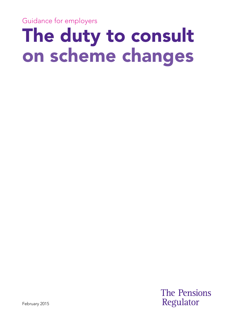Guidance for employers

## The duty to consult on scheme changes

**The Pensions** Regulator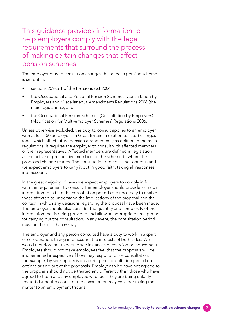This guidance provides information to help employers comply with the legal requirements that surround the process of making certain changes that affect pension schemes.

The employer duty to consult on changes that affect a pension scheme is set out in:

- sections 259-261 of the Pensions Act 2004
- the Occupational and Personal Pension Schemes (Consultation by Employers and Miscellaneous Amendment) Regulations 2006 (the main regulations), and
- the Occupational Pension Schemes (Consultation by Employers) (Modification for Multi-employer Schemes) Regulations 2006.

Unless otherwise excluded, the duty to consult applies to an employer with at least 50 employees in Great Britain in relation to listed changes (ones which affect future pension arrangements) as defined in the main regulations. It requires the employer to consult with affected members or their representatives. Affected members are defined in legislation as the active or prospective members of the scheme to whom the proposed change relates. The consultation process is not onerous and we expect employers to carry it out in good faith, taking all responses into account.

In the great majority of cases we expect employers to comply in full with the requirement to consult. The employer should provide as much information to initiate the consultation period as is necessary to enable those affected to understand the implications of the proposal and the context in which any decisions regarding the proposal have been made. The employer should also consider the quantity and complexity of the information that is being provided and allow an appropriate time period for carrying out the consultation. In any event, the consultation period must not be less than 60 days.

The employer and any person consulted have a duty to work in a spirit of co-operation, taking into account the interests of both sides. We would therefore not expect to see instances of coercion or inducement. Employers should not make employees feel that the proposals will be implemented irrespective of how they respond to the consultation, for example, by seeking decisions during the consultation period on options arising out of the proposals. Employees who have not agreed to the proposals should not be treated any differently than those who have agreed to them and any employee who feels they are being unfairly treated during the course of the consultation may consider taking the matter to an employment tribunal.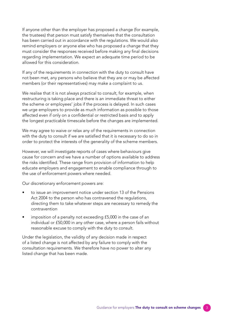If anyone other than the employer has proposed a change (for example, the trustees) that person must satisfy themselves that the consultation has been carried out in accordance with the regulations. We would also remind employers or anyone else who has proposed a change that they must consider the responses received before making any final decisions regarding implementation. We expect an adequate time period to be allowed for this consideration.

If any of the requirements in connection with the duty to consult have not been met, any persons who believe that they are or may be affected members (or their representatives) may make a complaint to us.

We realise that it is not always practical to consult, for example, when restructuring is taking place and there is an immediate threat to either the scheme or employees' jobs if the process is delayed. In such cases we urge employers to provide as much information as possible to those affected even if only on a confidential or restricted basis and to apply the longest practicable timescale before the changes are implemented.

We may agree to waive or relax any of the requirements in connection with the duty to consult if we are satisfied that it is necessary to do so in order to protect the interests of the generality of the scheme members.

However, we will investigate reports of cases where behaviours give cause for concern and we have a number of options available to address the risks identified. These range from provision of information to help educate employers and engagement to enable compliance through to the use of enforcement powers where needed.

Our discretionary enforcement powers are:

- to issue an improvement notice under section 13 of the Pensions Act 2004 to the person who has contravened the regulations, directing them to take whatever steps are necessary to remedy the contravention
- imposition of a penalty not exceeding £5,000 in the case of an individual or £50,000 in any other case, where a person fails without reasonable excuse to comply with the duty to consult.

Under the legislation, the validity of any decision made in respect of a listed change is not affected by any failure to comply with the consultation requirements. We therefore have no power to alter any listed change that has been made.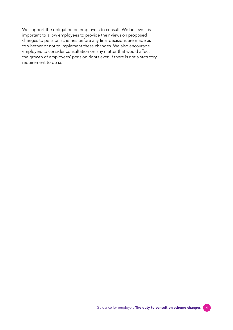We support the obligation on employers to consult. We believe it is important to allow employees to provide their views on proposed changes to pension schemes before any final decisions are made as to whether or not to implement these changes. We also encourage employers to consider consultation on any matter that would affect the growth of employees' pension rights even if there is not a statutory requirement to do so.